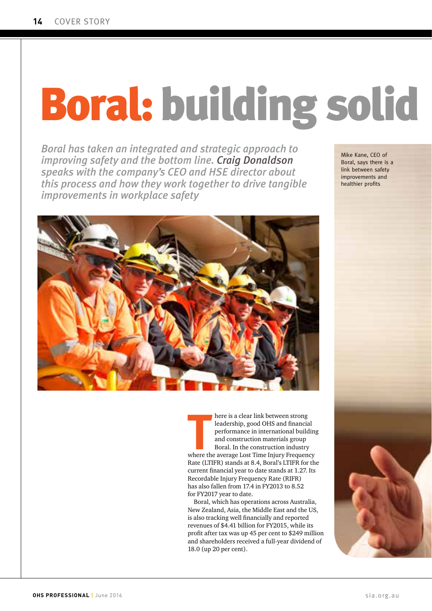## **Boral: building solid**

*Boral has taken an integrated and strategic approach to improving safety and the bottom line. Craig Donaldson speaks with the company's CEO and HSE director about this process and how they work together to drive tangible improvements in workplace safety*

Mike Kane, CEO of Mike Kane, CEO of Boral, says there is a Boral, says there is a link between safety link between safety improvements and improvements and healthier profits healthier profits



**THERE SET ASSEM IN THE ALL STARK SERVICE AN INTERFERIENCE AND PERTURBED AND REPORT AND REPORT AND REPORT AND REPORT AND REPORT AND REPORT AND REPORT AND REPORT AND REPORT AND REPORT AND REPORT AND REPORT AND REPORT AND RE** here is a clear link between strong leadership, good OHS and financial performance in international building and construction materials group Boral. In the construction industry Rate (LTIFR) stands at 8.4, Boral's LTIFR for the current financial year to date stands at 1.27. Its Recordable Injury Frequency Rate (RIFR) has also fallen from 17.4 in FY2013 to 8.52 for FY2017 year to date.

Boral, which has operations across Australia, New Zealand, Asia, the Middle East and the US, is also tracking well financially and reported revenues of \$4.41 billion for FY2015, while its profit after tax was up 45 per cent to \$249 million and shareholders received a full-year dividend of 18.0 (up 20 per cent).

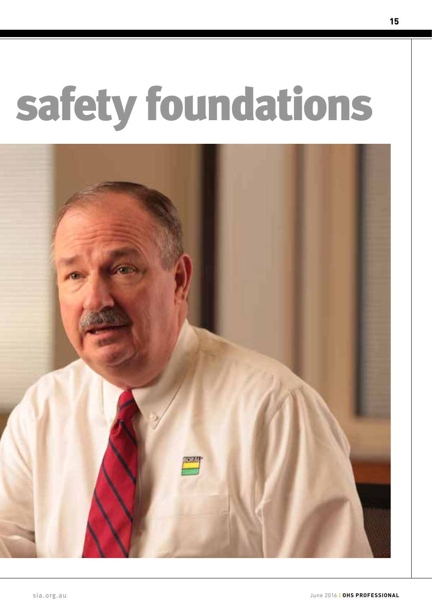# safety foundations

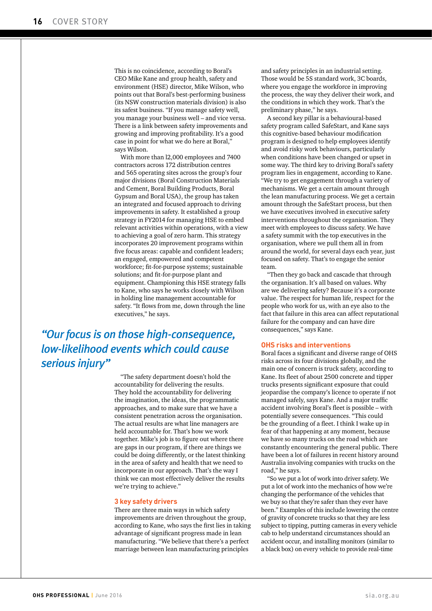This is no coincidence, according to Boral's CEO Mike Kane and group health, safety and environment (HSE) director, Mike Wilson, who points out that Boral's best-performing business (its NSW construction materials division) is also its safest business. "If you manage safety well, you manage your business well – and vice versa. There is a link between safety improvements and growing and improving profitability. It's a good case in point for what we do here at Boral," says Wilson.

With more than l2,000 employees and 7400 contractors across 172 distribution centres and 565 operating sites across the group's four major divisions (Boral Construction Materials and Cement, Boral Building Products, Boral Gypsum and Boral USA), the group has taken an integrated and focused approach to driving improvements in safety. It established a group strategy in FY2014 for managing HSE to embed relevant activities within operations, with a view to achieving a goal of zero harm. This strategy incorporates 20 improvement programs within five focus areas: capable and confident leaders; an engaged, empowered and competent workforce; fit-for-purpose systems; sustainable solutions; and fit-for-purpose plant and equipment. Championing this HSE strategy falls to Kane, who says he works closely with Wilson in holding line management accountable for safety. "It flows from me, down through the line executives," he says.

## *"Our focus is on those high-consequence, low-likelihood events which could cause serious injury"*

"The safety department doesn't hold the accountability for delivering the results. They hold the accountability for delivering the imagination, the ideas, the programmatic approaches, and to make sure that we have a consistent penetration across the organisation. The actual results are what line managers are held accountable for. That's how we work together. Mike's job is to figure out where there are gaps in our program, if there are things we could be doing differently, or the latest thinking in the area of safety and health that we need to incorporate in our approach. That's the way I think we can most effectively deliver the results we're trying to achieve."

#### **3 key safety drivers**

There are three main ways in which safety improvements are driven throughout the group, according to Kane, who says the first lies in taking advantage of significant progress made in lean manufacturing. "We believe that there's a perfect marriage between lean manufacturing principles

and safety principles in an industrial setting. Those would be 5S standard work, 3C boards, where you engage the workforce in improving the process, the way they deliver their work, and the conditions in which they work. That's the preliminary phase," he says.

A second key pillar is a behavioural-based safety program called SafeStart, and Kane says this cognitive-based behaviour modification program is designed to help employees identify and avoid risky work behaviours, particularly when conditions have been changed or upset in some way. The third key to driving Boral's safety program lies in engagement, according to Kane. "We try to get engagement through a variety of mechanisms. We get a certain amount through the lean manufacturing process. We get a certain amount through the SafeStart process, but then we have executives involved in executive safety interventions throughout the organisation. They meet with employees to discuss safety. We have a safety summit with the top executives in the organisation, where we pull them all in from around the world, for several days each year, just focused on safety. That's to engage the senior team.

"Then they go back and cascade that through the organisation. It's all based on values. Why are we delivering safety? Because it's a corporate value. The respect for human life, respect for the people who work for us, with an eye also to the fact that failure in this area can affect reputational failure for the company and can have dire consequences," says Kane.

#### **OHS risks and interventions**

Boral faces a significant and diverse range of OHS risks across its four divisions globally, and the main one of concern is truck safety, according to Kane. Its fleet of about 2500 concrete and tipper trucks presents significant exposure that could jeopardise the company's licence to operate if not managed safely, says Kane. And a major traffic accident involving Boral's fleet is possible – with potentially severe consequences. "This could be the grounding of a fleet. I think I wake up in fear of that happening at any moment, because we have so many trucks on the road which are constantly encountering the general public. There have been a lot of failures in recent history around Australia involving companies with trucks on the road," he says.

"So we put a lot of work into driver safety. We put a lot of work into the mechanics of how we're changing the performance of the vehicles that we buy so that they're safer than they ever have been." Examples of this include lowering the centre of gravity of concrete trucks so that they are less subject to tipping, putting cameras in every vehicle cab to help understand circumstances should an accident occur, and installing monitors (similar to a black box) on every vehicle to provide real-time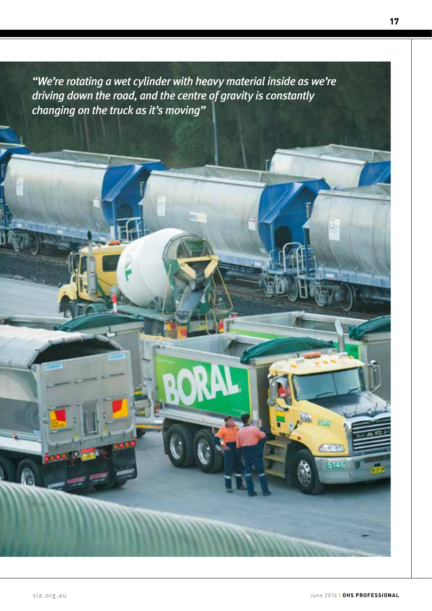*"We're rotating a wet cylinder with heavy material inside as we're driving down the road, and the centre of gravity is constantly changing on the truck as it's moving"* 

146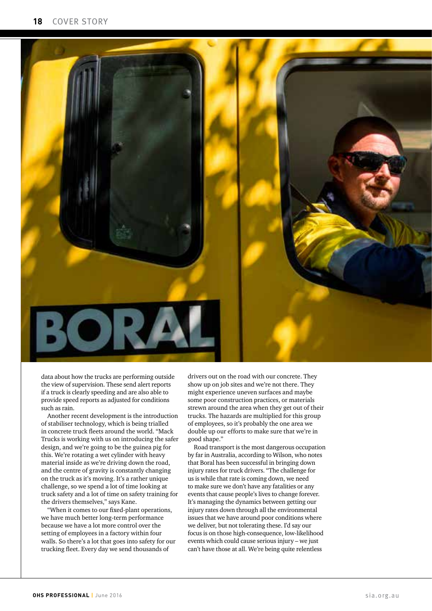

data about how the trucks are performing outside the view of supervision. These send alert reports if a truck is clearly speeding and are also able to provide speed reports as adjusted for conditions such as rain.

Another recent development is the introduction of stabiliser technology, which is being trialled in concrete truck fleets around the world. "Mack Trucks is working with us on introducing the safer design, and we're going to be the guinea pig for this. We're rotating a wet cylinder with heavy material inside as we're driving down the road, and the centre of gravity is constantly changing on the truck as it's moving. It's a rather unique challenge, so we spend a lot of time looking at truck safety and a lot of time on safety training for the drivers themselves," says Kane.

"When it comes to our fixed-plant operations, we have much better long-term performance because we have a lot more control over the setting of employees in a factory within four walls. So there's a lot that goes into safety for our trucking fleet. Every day we send thousands of

drivers out on the road with our concrete. They show up on job sites and we're not there. They might experience uneven surfaces and maybe some poor construction practices, or materials strewn around the area when they get out of their trucks. The hazards are multiplied for this group of employees, so it's probably the one area we double up our efforts to make sure that we're in good shape."

Road transport is the most dangerous occupation by far in Australia, according to Wilson, who notes that Boral has been successful in bringing down injury rates for truck drivers. "The challenge for us is while that rate is coming down, we need to make sure we don't have any fatalities or any events that cause people's lives to change forever. It's managing the dynamics between getting our injury rates down through all the environmental issues that we have around poor conditions where we deliver, but not tolerating these. I'd say our focus is on those high-consequence, low-likelihood events which could cause serious injury – we just can't have those at all. We're being quite relentless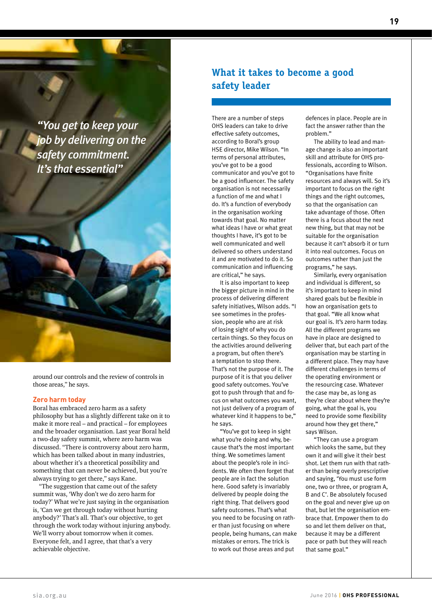*"You get to keep your job by delivering on the safety commitment. It's that essential"*

around our controls and the review of controls in those areas," he says.

#### **Zero harm today**

Boral has embraced zero harm as a safety philosophy but has a slightly different take on it to make it more real – and practical – for employees and the broader organisation. Last year Boral held a two-day safety summit, where zero harm was discussed. "There is controversy about zero harm, which has been talked about in many industries, about whether it's a theoretical possibility and something that can never be achieved, but you're always trying to get there," says Kane.

"The suggestion that came out of the safety summit was, 'Why don't we do zero harm for today?' What we're just saying in the organisation is, 'Can we get through today without hurting anybody?' That's all. That's our objective, to get through the work today without injuring anybody. We'll worry about tomorrow when it comes. Everyone felt, and I agree, that that's a very achievable objective.

### **What it takes to become a good safety leader**

There are a number of steps OHS leaders can take to drive effective safety outcomes, according to Boral's group HSE director, Mike Wilson. "In terms of personal attributes, you've got to be a good communicator and you've got to be a good influencer. The safety organisation is not necessarily a function of me and what I do. It's a function of everybody in the organisation working towards that goal. No matter what ideas I have or what great thoughts I have, it's got to be well communicated and well delivered so others understand it and are motivated to do it. So communication and influencing are critical," he says.

It is also important to keep the bigger picture in mind in the process of delivering different safety initiatives, Wilson adds. "I see sometimes in the profession, people who are at risk of losing sight of why you do certain things. So they focus on the activities around delivering a program, but often there's a temptation to stop there. That's not the purpose of it. The purpose of it is that you deliver good safety outcomes. You've got to push through that and focus on what outcomes you want, not just delivery of a program of whatever kind it happens to be," he says.

"You've got to keep in sight what you're doing and why, because that's the most important thing. We sometimes lament about the people's role in incidents. We often then forget that people are in fact the solution here. Good safety is invariably delivered by people doing the right thing. That delivers good safety outcomes. That's what you need to be focusing on rather than just focusing on where people, being humans, can make mistakes or errors. The trick is to work out those areas and put

defences in place. People are in fact the answer rather than the problem."

The ability to lead and manage change is also an important skill and attribute for OHS professionals, according to Wilson. "Organisations have finite resources and always will. So it's important to focus on the right things and the right outcomes, so that the organisation can take advantage of those. Often there is a focus about the next new thing, but that may not be suitable for the organisation because it can't absorb it or turn it into real outcomes. Focus on outcomes rather than just the programs," he says.

Similarly, every organisation and individual is different, so it's important to keep in mind shared goals but be flexible in how an organisation gets to that goal. "We all know what our goal is. It's zero harm today. All the different programs we have in place are designed to deliver that, but each part of the organisation may be starting in a different place. They may have different challenges in terms of the operating environment or the resourcing case. Whatever the case may be, as long as they're clear about where they're going, what the goal is, you need to provide some flexibility around how they get there," says Wilson.

"They can use a program which looks the same, but they own it and will give it their best shot. Let them run with that rather than being overly prescriptive and saying, 'You must use form one, two or three, or program A, B and C'. Be absolutely focused on the goal and never give up on that, but let the organisation embrace that. Empower them to do so and let them deliver on that, because it may be a different pace or path but they will reach that same goal."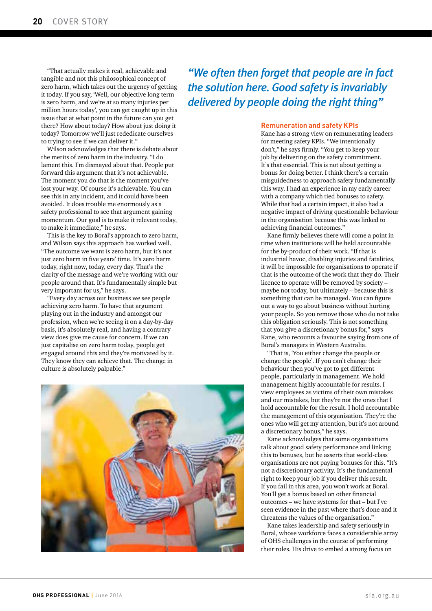"That actually makes it real, achievable and tangible and not this philosophical concept of zero harm, which takes out the urgency of getting it today. If you say, 'Well, our objective long term is zero harm, and we're at so many injuries per million hours today', you can get caught up in this issue that at what point in the future can you get there? How about today? How about just doing it today? Tomorrow we'll just rededicate ourselves to trying to see if we can deliver it."

Wilson acknowledges that there is debate about the merits of zero harm in the industry. "I do lament this. I'm dismayed about that. People put forward this argument that it's not achievable. The moment you do that is the moment you've lost your way. Of course it's achievable. You can see this in any incident, and it could have been avoided. It does trouble me enormously as a safety professional to see that argument gaining momentum. Our goal is to make it relevant today, to make it immediate," he says.

This is the key to Boral's approach to zero harm, and Wilson says this approach has worked well. "The outcome we want is zero harm, but it's not just zero harm in five years' time. It's zero harm today, right now, today, every day. That's the clarity of the message and we're working with our people around that. It's fundamentally simple but very important for us," he says.

"Every day across our business we see people achieving zero harm. To have that argument playing out in the industry and amongst our profession, when we're seeing it on a day-by-day basis, it's absolutely real, and having a contrary view does give me cause for concern. If we can just capitalise on zero harm today, people get engaged around this and they're motivated by it. They know they can achieve that. The change in culture is absolutely palpable."



*"We often then forget that people are in fact the solution here. Good safety is invariably delivered by people doing the right thing"*

#### **Remuneration and safety KPIs**

Kane has a strong view on remunerating leaders for meeting safety KPIs. "We intentionally don't," he says firmly. "You get to keep your job by delivering on the safety commitment. It's that essential. This is not about getting a bonus for doing better. I think there's a certain misguidedness to approach safety fundamentally this way. I had an experience in my early career with a company which tied bonuses to safety. While that had a certain impact, it also had a negative impact of driving questionable behaviour in the organisation because this was linked to achieving financial outcomes."

Kane firmly believes there will come a point in time when institutions will be held accountable for the by-product of their work. "If that is industrial havoc, disabling injuries and fatalities, it will be impossible for organisations to operate if that is the outcome of the work that they do. Their licence to operate will be removed by society – maybe not today, but ultimately – because this is something that can be managed. You can figure out a way to go about business without hurting your people. So you remove those who do not take this obligation seriously. This is not something that you give a discretionary bonus for," says Kane, who recounts a favourite saying from one of Boral's managers in Western Australia.

"That is, 'You either change the people or change the people'. If you can't change their behaviour then you've got to get different people, particularly in management. We hold management highly accountable for results. I view employees as victims of their own mistakes and our mistakes, but they're not the ones that I hold accountable for the result. I hold accountable the management of this organisation. They're the ones who will get my attention, but it's not around a discretionary bonus," he says.

Kane acknowledges that some organisations talk about good safety performance and linking this to bonuses, but he asserts that world-class organisations are not paying bonuses for this. "It's not a discretionary activity. It's the fundamental right to keep your job if you deliver this result. If you fail in this area, you won't work at Boral. You'll get a bonus based on other financial outcomes – we have systems for that – but I've seen evidence in the past where that's done and it threatens the values of the organisation."

Kane takes leadership and safety seriously in Boral, whose workforce faces a considerable array of OHS challenges in the course of performing their roles. His drive to embed a strong focus on